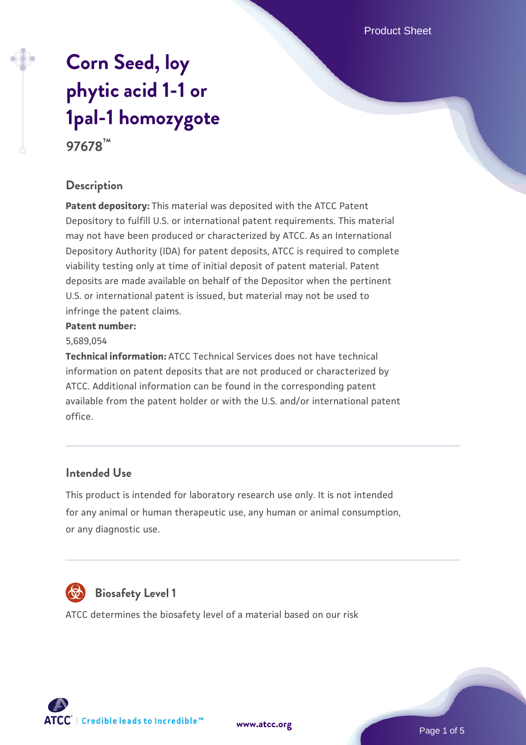Product Sheet

# **[Corn Seed, loy](https://www.atcc.org/products/97678) [phytic acid 1-1 or](https://www.atcc.org/products/97678) [1pal-1 homozygote](https://www.atcc.org/products/97678) 97678™**

### **Description**

**Patent depository:** This material was deposited with the ATCC Patent Depository to fulfill U.S. or international patent requirements. This material may not have been produced or characterized by ATCC. As an International Depository Authority (IDA) for patent deposits, ATCC is required to complete viability testing only at time of initial deposit of patent material. Patent deposits are made available on behalf of the Depositor when the pertinent U.S. or international patent is issued, but material may not be used to infringe the patent claims.

#### **Patent number:**

#### 5,689,054

**Technical information:** ATCC Technical Services does not have technical information on patent deposits that are not produced or characterized by ATCC. Additional information can be found in the corresponding patent available from the patent holder or with the U.S. and/or international patent office.

#### **Intended Use**

This product is intended for laboratory research use only. It is not intended for any animal or human therapeutic use, any human or animal consumption, or any diagnostic use.



# **Biosafety Level 1**

ATCC determines the biosafety level of a material based on our risk

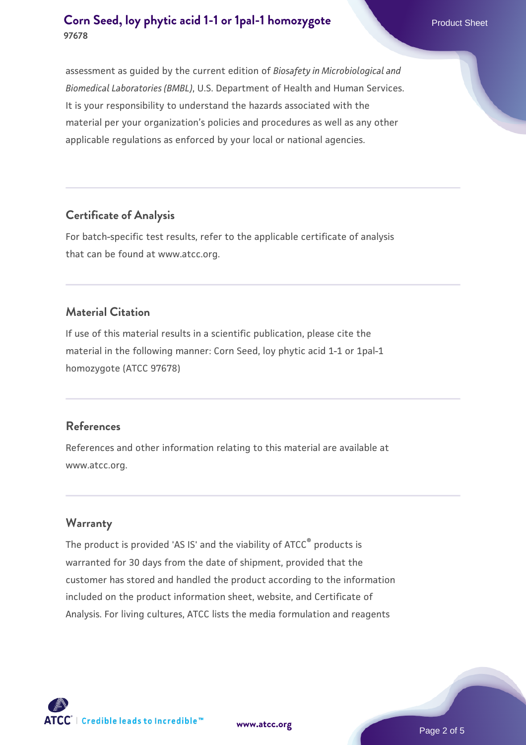assessment as guided by the current edition of *Biosafety in Microbiological and Biomedical Laboratories (BMBL)*, U.S. Department of Health and Human Services. It is your responsibility to understand the hazards associated with the material per your organization's policies and procedures as well as any other applicable regulations as enforced by your local or national agencies.

### **Certificate of Analysis**

For batch-specific test results, refer to the applicable certificate of analysis that can be found at www.atcc.org.

## **Material Citation**

If use of this material results in a scientific publication, please cite the material in the following manner: Corn Seed, loy phytic acid 1-1 or 1pal-1 homozygote (ATCC 97678)

### **References**

References and other information relating to this material are available at www.atcc.org.

### **Warranty**

The product is provided 'AS IS' and the viability of ATCC® products is warranted for 30 days from the date of shipment, provided that the customer has stored and handled the product according to the information included on the product information sheet, website, and Certificate of Analysis. For living cultures, ATCC lists the media formulation and reagents

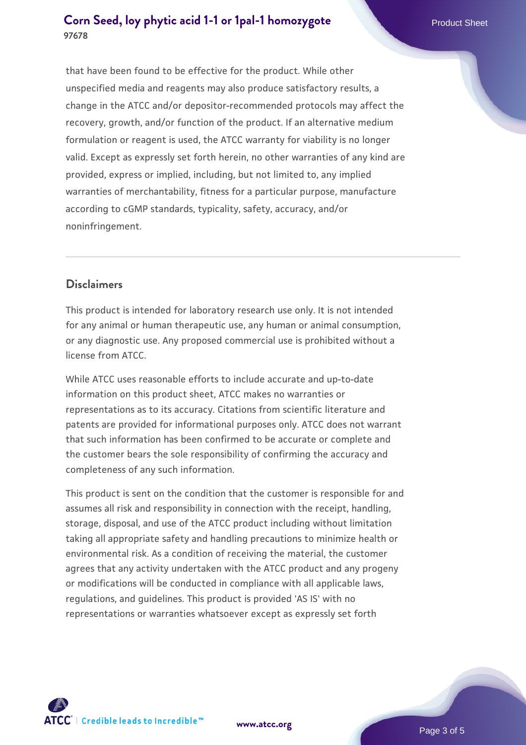that have been found to be effective for the product. While other unspecified media and reagents may also produce satisfactory results, a change in the ATCC and/or depositor-recommended protocols may affect the recovery, growth, and/or function of the product. If an alternative medium formulation or reagent is used, the ATCC warranty for viability is no longer valid. Except as expressly set forth herein, no other warranties of any kind are provided, express or implied, including, but not limited to, any implied warranties of merchantability, fitness for a particular purpose, manufacture according to cGMP standards, typicality, safety, accuracy, and/or noninfringement.

### **Disclaimers**

This product is intended for laboratory research use only. It is not intended for any animal or human therapeutic use, any human or animal consumption, or any diagnostic use. Any proposed commercial use is prohibited without a license from ATCC.

While ATCC uses reasonable efforts to include accurate and up-to-date information on this product sheet, ATCC makes no warranties or representations as to its accuracy. Citations from scientific literature and patents are provided for informational purposes only. ATCC does not warrant that such information has been confirmed to be accurate or complete and the customer bears the sole responsibility of confirming the accuracy and completeness of any such information.

This product is sent on the condition that the customer is responsible for and assumes all risk and responsibility in connection with the receipt, handling, storage, disposal, and use of the ATCC product including without limitation taking all appropriate safety and handling precautions to minimize health or environmental risk. As a condition of receiving the material, the customer agrees that any activity undertaken with the ATCC product and any progeny or modifications will be conducted in compliance with all applicable laws, regulations, and guidelines. This product is provided 'AS IS' with no representations or warranties whatsoever except as expressly set forth



**[www.atcc.org](http://www.atcc.org)**

Page 3 of 5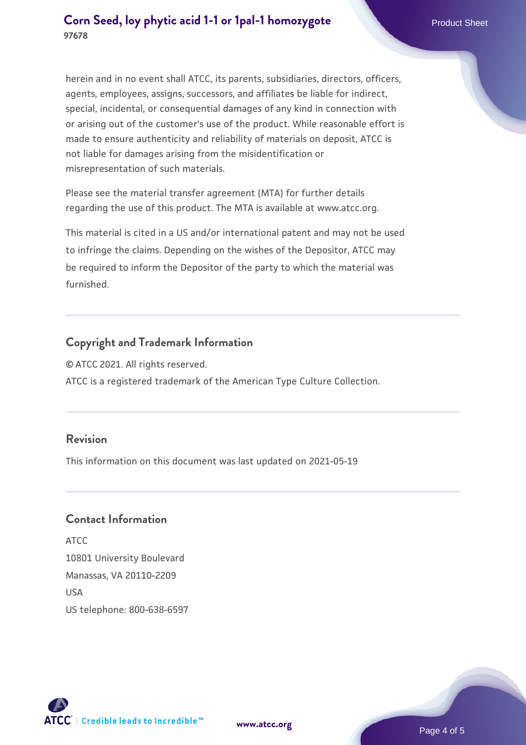herein and in no event shall ATCC, its parents, subsidiaries, directors, officers, agents, employees, assigns, successors, and affiliates be liable for indirect, special, incidental, or consequential damages of any kind in connection with or arising out of the customer's use of the product. While reasonable effort is made to ensure authenticity and reliability of materials on deposit, ATCC is not liable for damages arising from the misidentification or misrepresentation of such materials.

Please see the material transfer agreement (MTA) for further details regarding the use of this product. The MTA is available at www.atcc.org.

This material is cited in a US and/or international patent and may not be used to infringe the claims. Depending on the wishes of the Depositor, ATCC may be required to inform the Depositor of the party to which the material was furnished.

### **Copyright and Trademark Information**

© ATCC 2021. All rights reserved. ATCC is a registered trademark of the American Type Culture Collection.

#### **Revision**

This information on this document was last updated on 2021-05-19

## **Contact Information**

ATCC 10801 University Boulevard Manassas, VA 20110-2209 USA US telephone: 800-638-6597